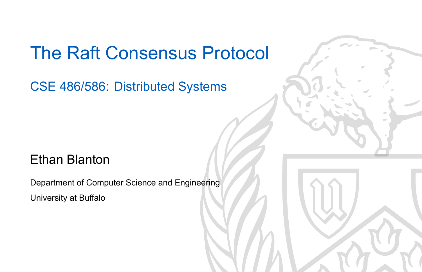## The Raft Consensus Protocol

CSE 486/586: Distributed Systems

### Ethan Blanton

Department of Computer Science and Engineering University at Buffalo

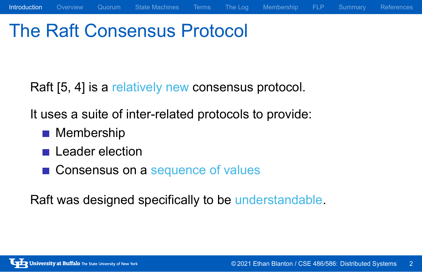## The Raft Consensus Protocol

Raft [5, 4] is a relatively new consensus protocol.

Introduction Overview Quorum State Machines Terms The Log Membership FLP Summary References

It uses a suite of inter-related protocols to provide:

- **Membership**
- **Leader election**
- Consensus on a sequence of values

Raft was designed specifically to be understandable.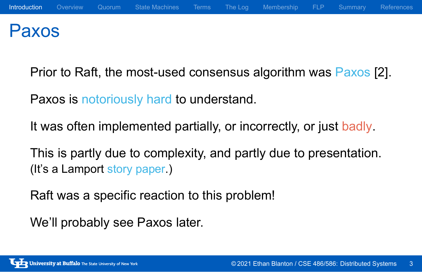### Paxos

Prior to Raft, the most-used consensus algorithm was Paxos [2].

Paxos is notoriously hard to understand.

It was often implemented partially, or incorrectly, or just badly.

This is partly due to complexity, and partly due to presentation. (It's a Lamport story paper.)

Raft was a specific reaction to this problem!

We'll probably see Paxos later.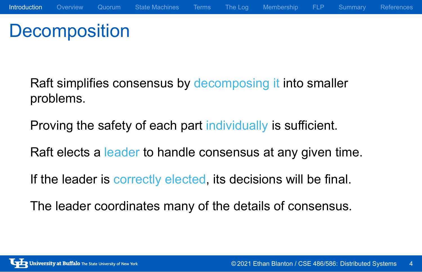## **Decomposition**

Raft simplifies consensus by decomposing it into smaller problems.

Proving the safety of each part individually is sufficient.

Raft elects a leader to handle consensus at any given time.

If the leader is correctly elected, its decisions will be final.

The leader coordinates many of the details of consensus.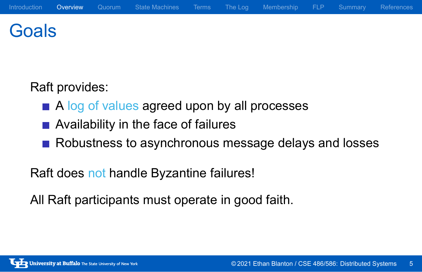### **Goals**

Raft provides:

- A log of values agreed upon by all processes
- Availability in the face of failures
- Robustness to asynchronous message delays and losses

Raft does not handle Byzantine failures!

All Raft participants must operate in good faith.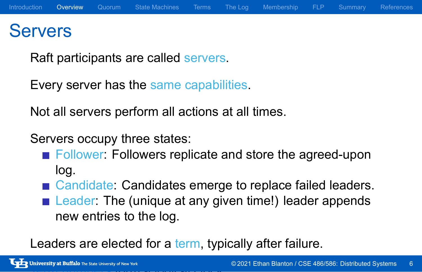### **Servers**

Raft participants are called servers.

Every server has the same capabilities.

Not all servers perform all actions at all times.

Servers occupy three states:

- **Follower: Followers replicate and store the agreed-upon** log.
- Candidate: Candidates emerge to replace failed leaders.
- Leader: The (unique at any given time!) leader appends new entries to the log.

Leaders are elected for a term, typically after failure.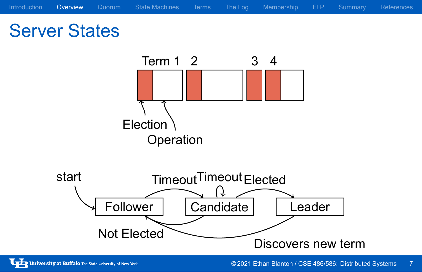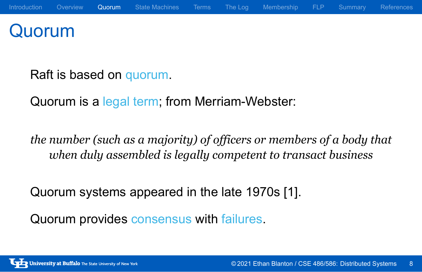### Quorum

Raft is based on quorum.

Quorum is a legal term; from Merriam-Webster:

*the number (such as a majority) of officers or members of a body that when duly assembled is legally competent to transact business*

Quorum systems appeared in the late 1970s [1].

Quorum provides consensus with failures.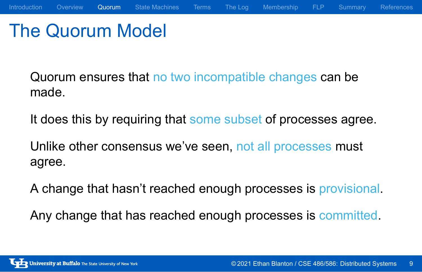### The Quorum Model

Quorum ensures that no two incompatible changes can be made.

It does this by requiring that some subset of processes agree.

Introduction Overview Quorum State Machines Terms The Log Membership FLP Summary References

Unlike other consensus we've seen, not all processes must agree.

A change that hasn't reached enough processes is provisional.

Any change that has reached enough processes is committed.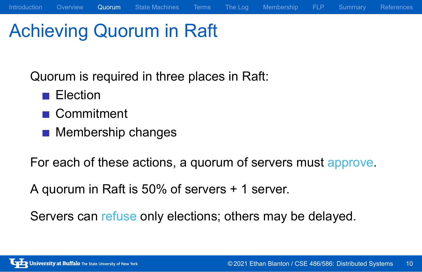## Achieving Quorum in Raft

Quorum is required in three places in Raft:

- **Election**
- Commitment
- **Membership changes**

For each of these actions, a quorum of servers must approve.

Introduction Overview Quorum State Machines Terms The Log Membership FLP Summary References

A quorum in Raft is 50% of servers + 1 server.

Servers can refuse only elections; others may be delayed.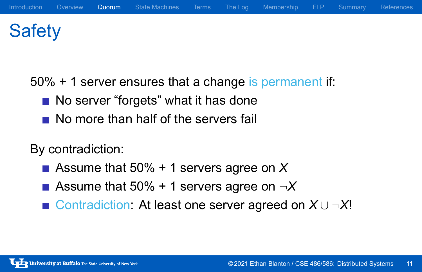## **Safety**

50% + 1 server ensures that a change is permanent if:

- No server "forgets" what it has done
- No more than half of the servers fail

By contradiction:

- Assume that 50% + 1 servers agree on *X*
- Assume that 50% + 1 servers agree on  $\neg X$
- Contradiction: At least one server agreed on *X ∪ ¬X*!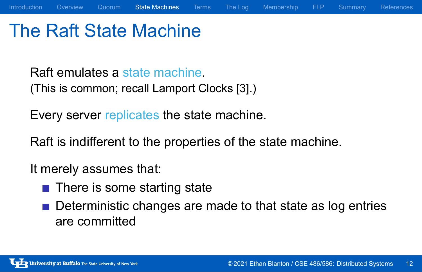## The Raft State Machine

Raft emulates a state machine. (This is common; recall Lamport Clocks [3].)

Every server replicates the state machine.

Raft is indifferent to the properties of the state machine.

It merely assumes that:

- There is some starting state
- Deterministic changes are made to that state as log entries are committed

Introduction Overview Quorum State Machines Terms The Log Membership FLP Summary References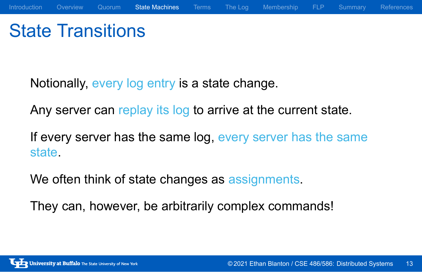## State Transitions

Notionally, every log entry is a state change.

Any server can replay its log to arrive at the current state.

If every server has the same log, every server has the same state.

We often think of state changes as assignments.

They can, however, be arbitrarily complex commands!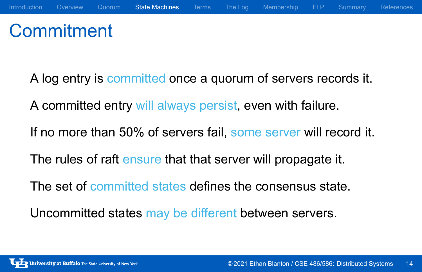## **Commitment**

- A log entry is committed once a quorum of servers records it.
- A committed entry will always persist, even with failure.
- If no more than 50% of servers fail, some server will record it.
- The rules of raft ensure that that server will propagate it.
- The set of committed states defines the consensus state.
- Uncommitted states may be different between servers.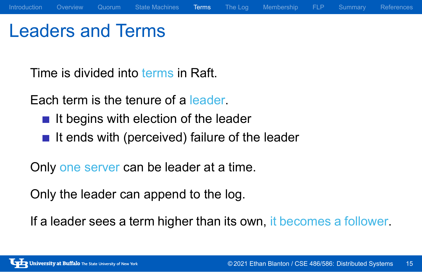## Leaders and Terms

Time is divided into terms in Raft.

Each term is the tenure of a leader.

- $\blacksquare$  It begins with election of the leader
- $\blacksquare$  It ends with (perceived) failure of the leader

Only one server can be leader at a time.

Only the leader can append to the log.

If a leader sees a term higher than its own, it becomes a follower.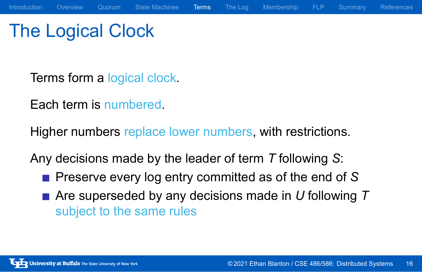The Logical Clock

Terms form a logical clock.

Each term is numbered.

Higher numbers replace lower numbers, with restrictions.

Any decisions made by the leader of term *T* following *S*:

- **Preserve every log entry committed as of the end of S**
- Are superseded by any decisions made in *U* following *T* subject to the same rules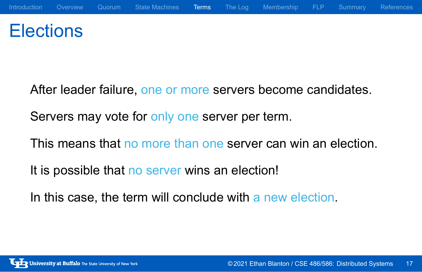## **Elections**

- After leader failure, one or more servers become candidates.
- Servers may vote for only one server per term.
- This means that no more than one server can win an election.
- It is possible that no server wins an election!
- In this case, the term will conclude with a new election.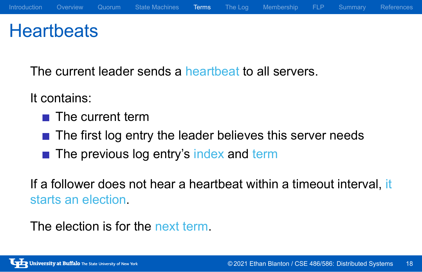## **Heartbeats**

The current leader sends a heartbeat to all servers.

It contains:

- The current term
- The first log entry the leader believes this server needs
- The previous log entry's index and term

If a follower does not hear a heartbeat within a timeout interval, it starts an election.

The election is for the next term.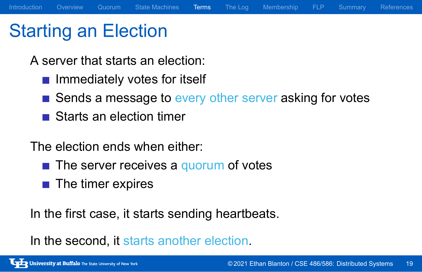## Starting an Election

A server that starts an election:

- $\blacksquare$  Immediately votes for itself
- Sends a message to every other server asking for votes
- Starts an election timer

The election ends when either:

- $\blacksquare$  The server receives a quorum of votes
- $\blacksquare$  The timer expires

In the first case, it starts sending heartbeats.

In the second, it starts another election.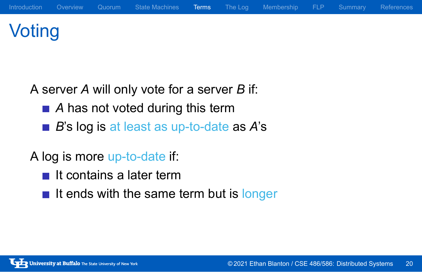# Voting

A server *A* will only vote for a server *B* if:

- *A* has not voted during this term
- *B*'s log is at least as up-to-date as *A*'s

A log is more up-to-date if:

- $\blacksquare$  It contains a later term
- $\blacksquare$  It ends with the same term but is longer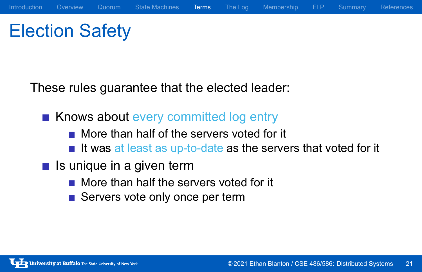# Election Safety

These rules guarantee that the elected leader:

- Knows about every committed log entry
	- More than half of the servers voted for it
	- $\blacksquare$  It was at least as up-to-date as the servers that voted for it
- $\blacksquare$  Is unique in a given term
	- More than half the servers voted for it
	- Servers vote only once per term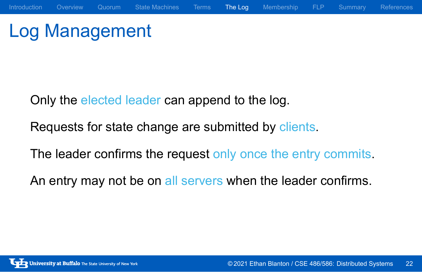# Log Management

Only the elected leader can append to the log.

Requests for state change are submitted by clients.

The leader confirms the request only once the entry commits.

Introduction Overview Quorum State-Machines Terms The Log Membership FLP Summary References

An entry may not be on all servers when the leader confirms.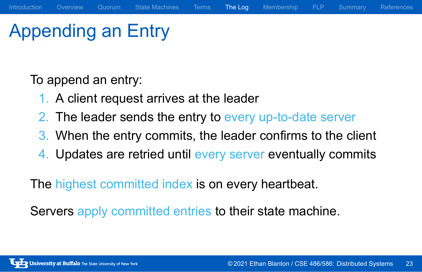## Appending an Entry

To append an entry:

- 1. A client request arrives at the leader
- 2. The leader sends the entry to every up-to-date server
- 3. When the entry commits, the leader confirms to the client

Introduction Overview Quorum State Machines Terms The Log Membership FLP Summary References

4. Updates are retried until every server eventually commits

The highest committed index is on every heartbeat.

Servers apply committed entries to their state machine.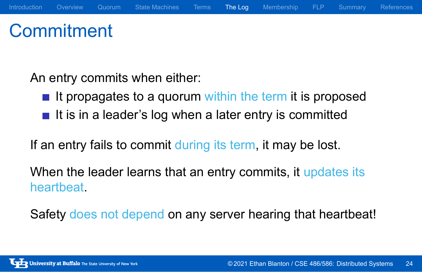## **Commitment**

An entry commits when either:

- $\blacksquare$  It propagates to a quorum within the term it is proposed
- $\blacksquare$  It is in a leader's log when a later entry is committed

If an entry fails to commit during its term, it may be lost.

When the leader learns that an entry commits, it updates its heartbeat.

Safety does not depend on any server hearing that heartbeat!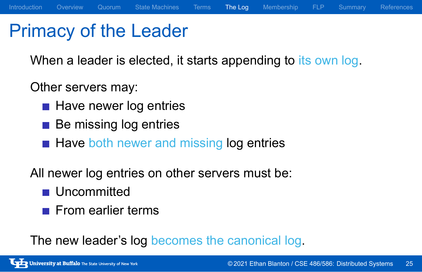## Primacy of the Leader

When a leader is elected, it starts appending to its own log.

Introduction Overview Quorum State Machines Terms The Log Membership FLP Summary References

Other servers may:

- Have newer log entries
- **Be missing log entries**
- Have both newer and missing log entries

All newer log entries on other servers must be:

- **Uncommitted**
- $\blacksquare$  From earlier terms

The new leader's log becomes the canonical log.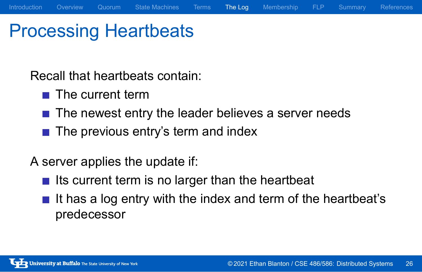## Processing Heartbeats

Recall that heartbeats contain:

- $\blacksquare$  The current term
- The newest entry the leader believes a server needs

Introduction Overview Quorum State Machines Terms The Log Membership FLP Summary References

 $\blacksquare$  The previous entry's term and index

A server applies the update if:

- $\blacksquare$  Its current term is no larger than the heartbeat
- $\blacksquare$  It has a log entry with the index and term of the heartbeat's predecessor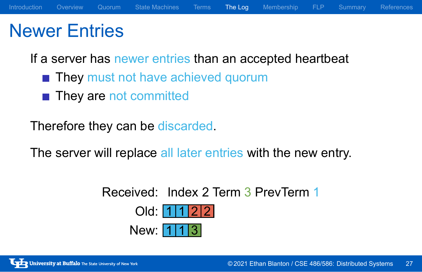## Newer Entries

If a server has newer entries than an accepted heartbeat

- **They must not have achieved quorum**
- They are not committed

Therefore they can be discarded.

The server will replace all later entries with the new entry.

Received: Index 2 Term 3 PrevTerm 1 Old:  $1122$ New:  $113$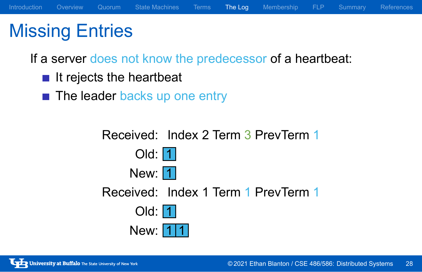## Missing Entries

If a server does not know the predecessor of a heartbeat:

- $\blacksquare$  It rejects the heartbeat
- The leader backs up one entry

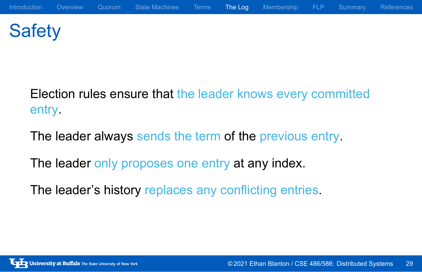# **Safety**

Election rules ensure that the leader knows every committed entry.

The leader always sends the term of the previous entry.

The leader only proposes one entry at any index.

The leader's history replaces any conflicting entries.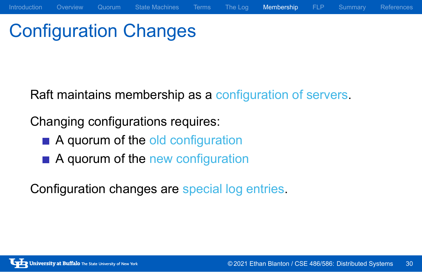# Configuration Changes

Raft maintains membership as a configuration of servers.

Introduction Overview Quorum State Machines Terms The Log Membership FLP Summary References

Changing configurations requires:

- A quorum of the old configuration
- A quorum of the new configuration

Configuration changes are special log entries.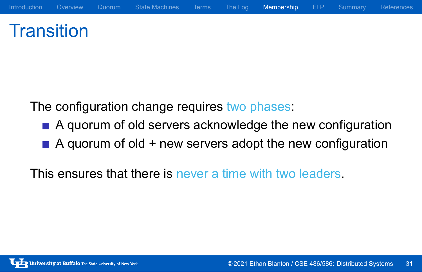## **Transition**

The configuration change requires two phases:

A quorum of old servers acknowledge the new configuration

Introduction Overview Quorum State Machines Terms The Log Membership FLP Summary References

 $\blacksquare$  A quorum of old + new servers adopt the new configuration

This ensures that there is never a time with two leaders.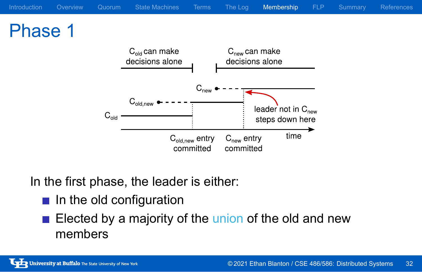#### Introduction Overview Quorum State Machines Terms The Log Membership FLP Summary References Phase 1  $C_{old}$  can make  $C<sub>new</sub>$  can make decisions alone decisions alone  $\mathsf{C}_{\mathsf{new}}$  $C_{old,new}$   $\bullet$ leader not in  $C_{\text{new}}$  $\mathsf{C}_{\mathsf{old}}$ steps down here  $time$  $C<sub>new</sub>$  entry  $C_{old,new}$  entry committed committed

In the first phase, the leader is either:

- $\blacksquare$  In the old configuration
- Elected by a majority of the union of the old and new members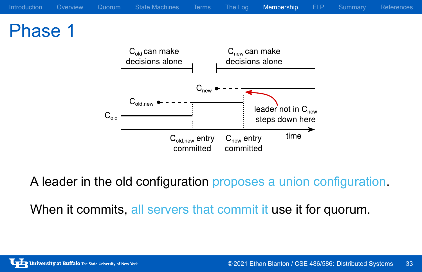

A leader in the old configuration proposes a union configuration.

When it commits, all servers that commit it use it for quorum.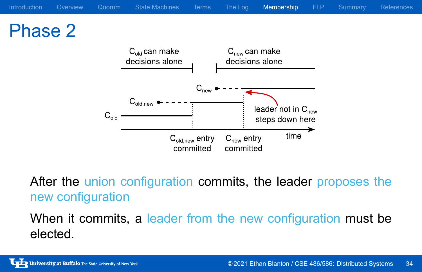

After the union configuration commits, the leader proposes the new configuration

When it commits, a leader from the new configuration must be elected.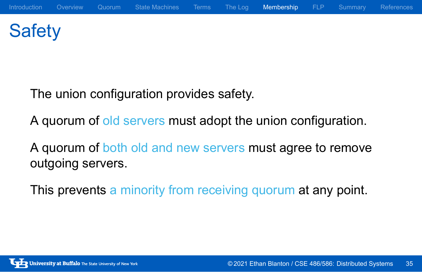# **Safety**

The union configuration provides safety.

A quorum of old servers must adopt the union configuration.

A quorum of both old and new servers must agree to remove outgoing servers.

This prevents a minority from receiving quorum at any point.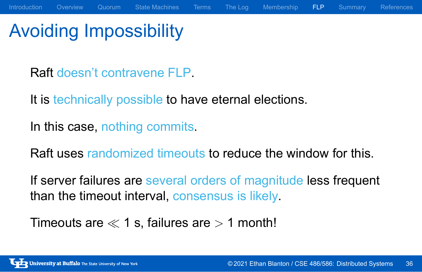## Avoiding Impossibility

Raft doesn't contravene FLP.

It is technically possible to have eternal elections.

In this case, nothing commits.

Raft uses randomized timeouts to reduce the window for this.

Introduction Overview Quorum State-Machines Terms The Log Membership FLP Summary References

If server failures are several orders of magnitude less frequent than the timeout interval, consensus is likely.

Timeouts are *≪* 1 s, failures are *>* 1 month!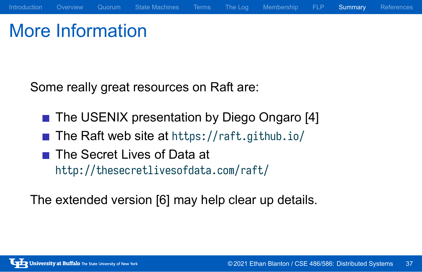## More Information

Some really great resources on Raft are:

■ The USENIX presentation by Diego Ongaro [4]

Introduction Overview Quorum State Machines Terms The Log Membership FLP Summary References

- The Raft web site at https://raft.github.io/
- The Secret Lives of Data at http://thesecretlivesofdata.com/raft/

The extended version [6] may help clear up details.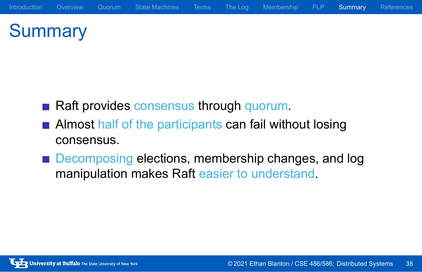# **Summary**

- Raft provides consensus through quorum.
- **Almost half of the participants can fail without losing** consensus.
- Decomposing elections, membership changes, and log manipulation makes Raft easier to understand.

Introduction Overview Quorum State-Machines Terms The Log Membership FLP Summary References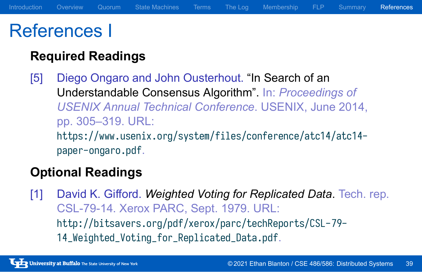### References I

### **Required Readings**

[5] Diego Ongaro and John Ousterhout. "In Search of an Understandable Consensus Algorithm". In: *Proceedings of USENIX Annual Technical Conference*. USENIX, June 2014, pp. 305–319. URL: https://www.usenix.org/system/files/conference/atc14/atc14 paper-ongaro.pdf.

Introduction Overview Quorum State Machines Terms The Log Membership FLP Summary References

### **Optional Readings**

[1] David K. Gifford. *Weighted Voting for Replicated Data*. Tech. rep. CSL-79-14. Xerox PARC, Sept. 1979. URL: http://bitsavers.org/pdf/xerox/parc/techReports/CSL-79- 14\_Weighted\_Voting\_for\_Replicated\_Data.pdf.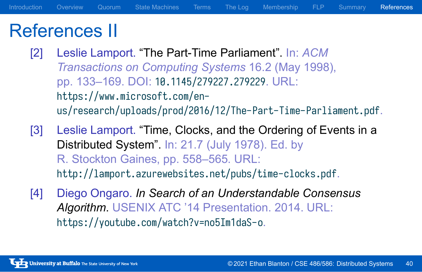### References II

- [2] Leslie Lamport. "The Part-Time Parliament". In: *ACM Transactions on Computing Systems* 16.2 (May 1998), pp. 133–169. DOI: 10.1145/279227.279229. URL: https://www.microsoft.com/enus/research/uploads/prod/2016/12/The-Part-Time-Parliament.pdf.
- [3] Leslie Lamport. "Time, Clocks, and the Ordering of Events in a Distributed System". In: 21.7 (July 1978). Ed. by R. Stockton Gaines, pp. 558–565. URL: http://lamport.azurewebsites.net/pubs/time-clocks.pdf.
- [4] Diego Ongaro. *In Search of an Understandable Consensus Algorithm*. USENIX ATC '14 Presentation. 2014. URL: https://youtube.com/watch?v=no5Im1daS-o.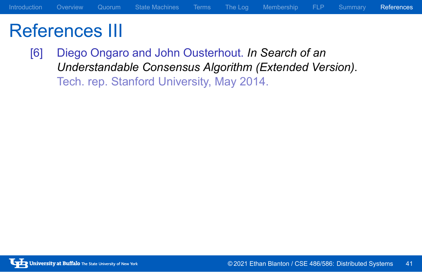## References III

[6] Diego Ongaro and John Ousterhout. *In Search of an Understandable Consensus Algorithm (Extended Version)*. Tech. rep. Stanford University, May 2014.

Introduction Overview Quorum State Machines Terms The Log Membership FLP Summary References